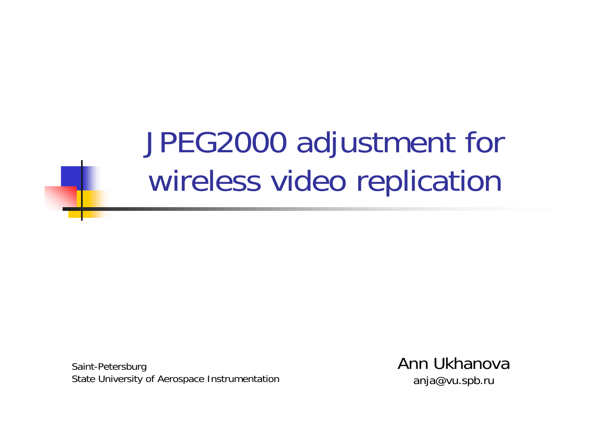JPEG2000 adjustment for wireless video replication

Saint-Petersburg State University of Aerospace Instrumentation Ann Ukhanovaanja@vu.spb.ru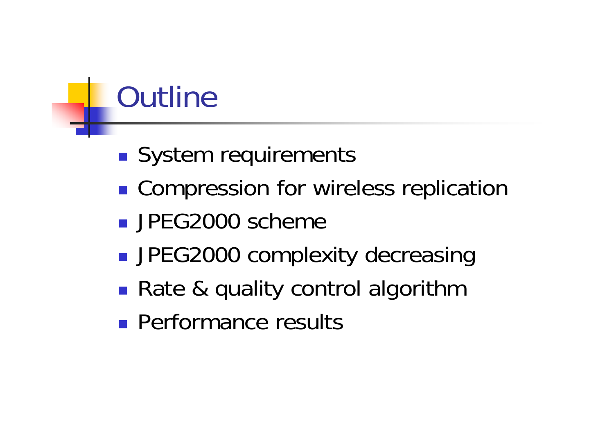# **Outline**

- **Service Service** ■ System requirements
- **Compression for wireless replication**
- **JPEG2000 scheme**
- **Service Service** ■ JPEG2000 complexity decreasing
- ■ Rate & quality control algorithm
- **Performance results**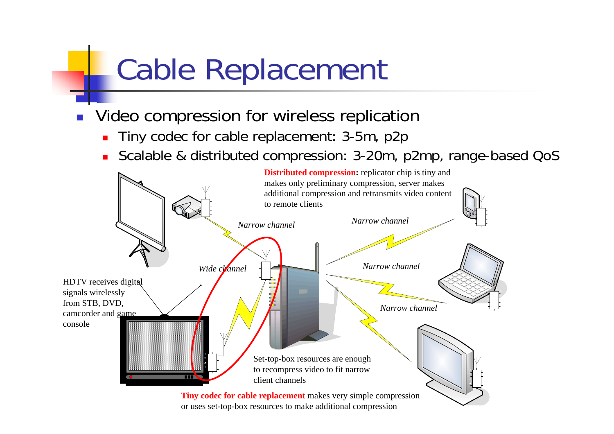# Cable Replacement

- Ξ Video compression for wireless replication
	- $\blacksquare$ Tiny codec for cable replacement: 3-5m, p2p
	- П Scalable & distributed compression: 3-20m, p2mp, range-based QoS

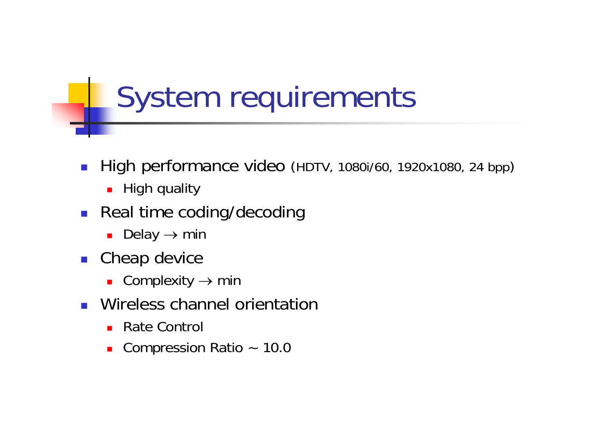# System requirements

- $\mathcal{L}_{\mathcal{A}}$ ■ High performance video (HDTV, 1080i/60, 1920x1080, 24 bpp)
	- High quality
- **Real time coding/decoding** 
	- Delay  $\rightarrow$  min
- **Cheap device** 
	- $\overline{\phantom{a}}$  Complexity  $\rightarrow$  min
- **Nireless channel orientation** 
	- Rate Control
	- Compression Ratio ~ 10.0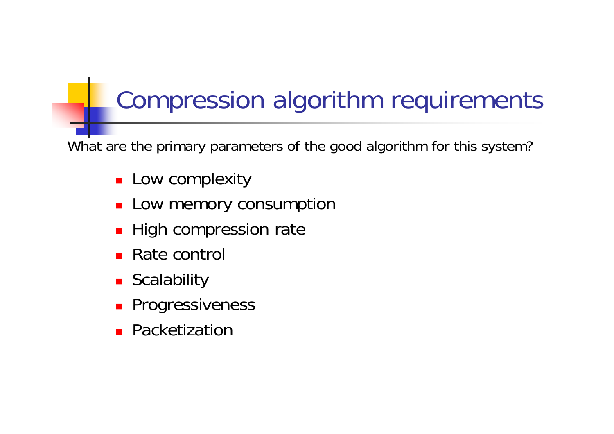## Compression algorithm requirements

What are the primary parameters of the good algorithm for this system?

- **Low complexity**
- **Low memory consumption**
- **High compression rate**
- Rate control
- **E** Scalability
- **Progressiveness**
- **Packetization**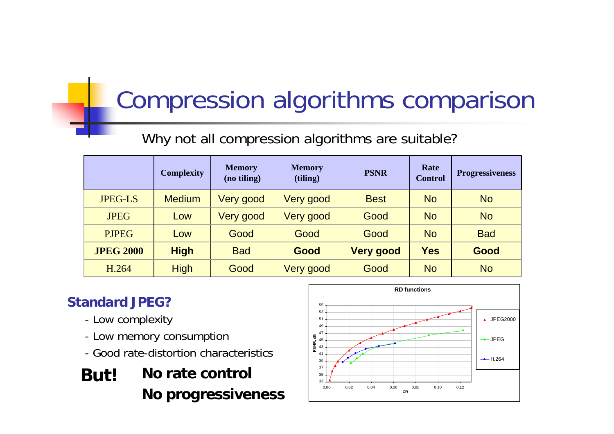## Compression algorithms comparison

### Why not all compression algorithms are suitable?

|                  | <b>Complexity</b> | <b>Memory</b><br>(no tiling) | <b>Memory</b><br>(tiling) | <b>PSNR</b>      | Rate<br><b>Control</b> | <b>Progressiveness</b> |
|------------------|-------------------|------------------------------|---------------------------|------------------|------------------------|------------------------|
| <b>JPEG-LS</b>   | <b>Medium</b>     | Very good                    | Very good                 | <b>Best</b>      | <b>No</b>              | <b>No</b>              |
| <b>JPEG</b>      | Low               | Very good                    | Very good                 | Good             | <b>No</b>              | <b>No</b>              |
| <b>PJPEG</b>     | Low               | Good                         | Good                      | Good             | <b>No</b>              | <b>Bad</b>             |
| <b>JPEG 2000</b> | <b>High</b>       | <b>Bad</b>                   | Good                      | <b>Very good</b> | <b>Yes</b>             | Good                   |
| H.264            | <b>High</b>       | Good                         | Very good                 | Good             | <b>No</b>              | <b>No</b>              |

### **Standard JPEG?**

- Low complexity
- Low memory consumption
- Good rate-distortion characteristics
- **But! No rate control No progressiveness**

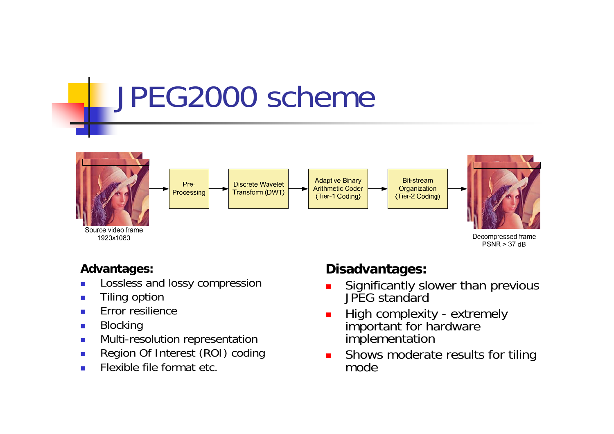# JPEG2000 scheme



#### **Advantages:**

- $\overline{\phantom{a}}$ Lossless and lossy compression
- $\mathbf{r}$ Tiling option
- $\mathcal{L}_{\mathcal{A}}$ Error resilience
- $\mathcal{L}_{\mathcal{A}}$ Blocking
- $\mathbf{r}$ Multi-resolution representation
- ▉ Region Of Interest (ROI) coding
- $\mathcal{L}_{\mathcal{A}}$ Flexible file format etc.

### **Disadvantages:**

- П **Significantly slower than previous** JPEG standard
- L. High complexity - extremely important for hardware implementation
- $\blacksquare$  Shows moderate results for tiling mode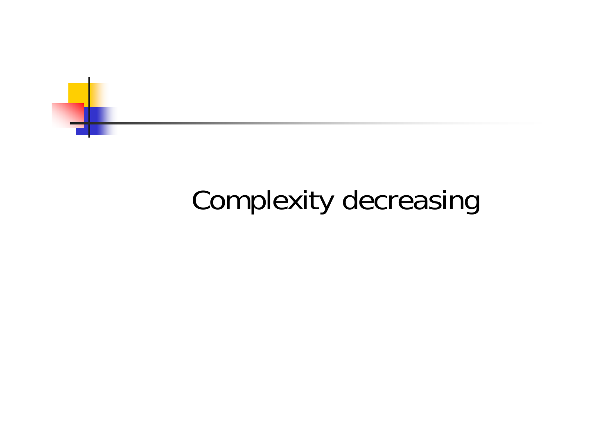

## Complexity decreasing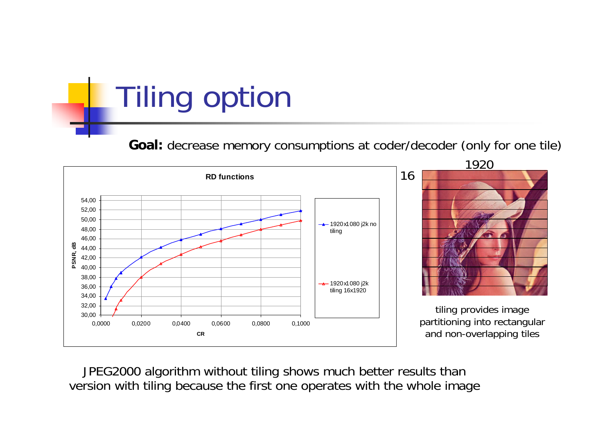Tiling option

**Goal:** decrease memory consumptions at coder/decoder (only for one tile)



JPEG2000 algorithm without tiling shows much better results than version with tiling because the first one operates with the whole image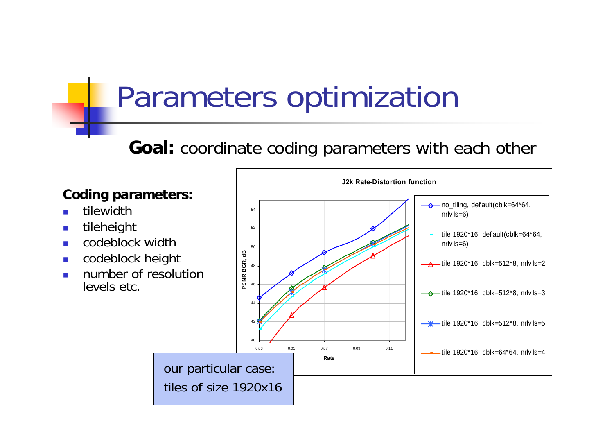# Parameters optimization

### **Goal:** coordinate coding parameters with each other

### **Coding parameters:**

- P. tilewidth
- $\mathbb{R}^3$ tileheight
- $\mathcal{L}_{\text{max}}$ codeblock width
- $\overline{\phantom{a}}$ codeblock height
- $\mathcal{L}_{\mathcal{A}}$  number of resolution levels etc.

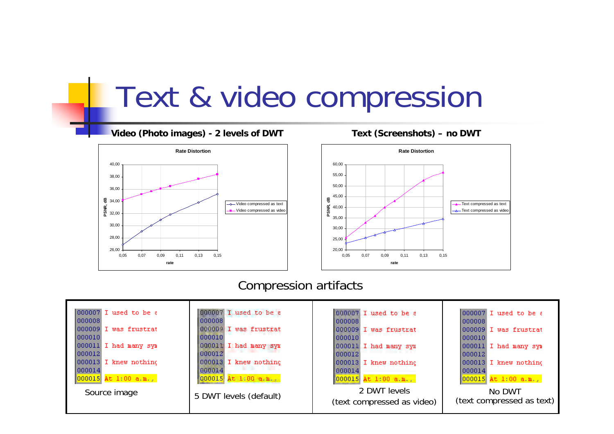## Text & video compression

#### **Video (Photo images) - 2 levels of DWT Text (Screenshots) – no DWT**





#### Compression artifacts

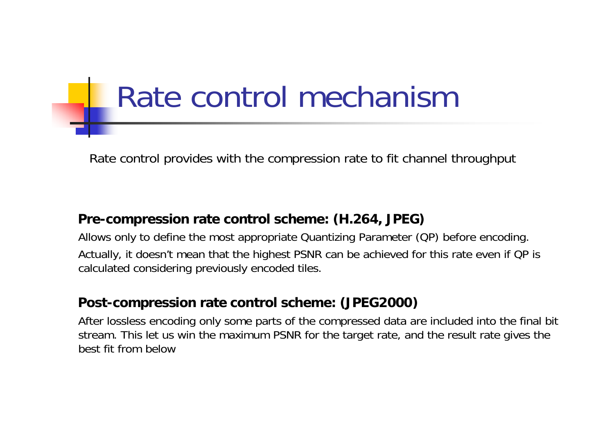# Rate control mechanism

Rate control provides with the compression rate to fit channel throughput

#### **Pre-compression rate control scheme: (H.264, JPEG)**

Allows only to define the most appropriate Quantizing Parameter (QP) before encoding. Actually, it doesn't mean that the highest PSNR can be achieved for this rate even if QP is calculated considering previously encoded tiles.

#### **Post-compression rate control scheme: (JPEG2000)**

After lossless encoding only some parts of the compressed data are included into the final bit stream. This let us win the maximum PSNR for the target rate, and the result rate gives the best fit from below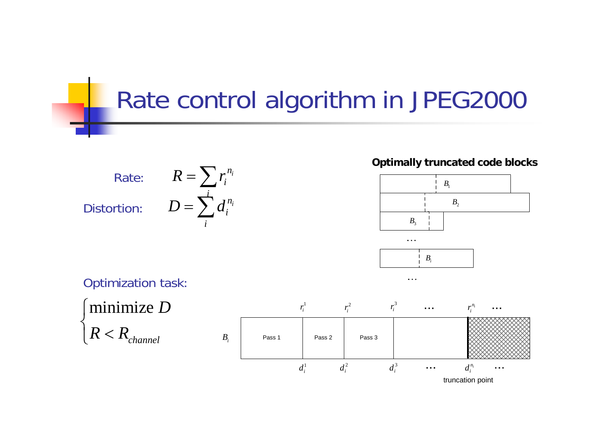## Rate control algorithm in JPEG2000

 $R = \sum r_i$  $D = \sum d_i^2$ Rate: Distortion:

 $n_i$ 

 $n_i$ 

*i i*

*i*

**Optimally truncated code blocks**





 $\alpha \rightarrow \alpha$ 

Optimization task:



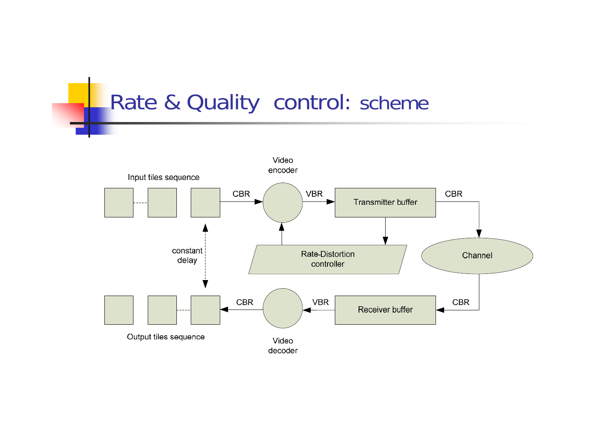### Rate & Quality control: scheme

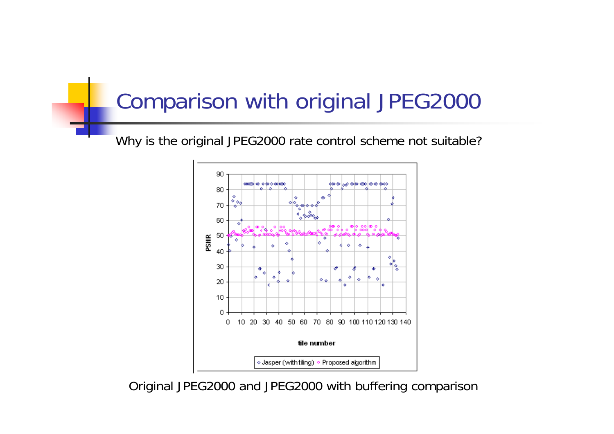### Comparison with original JPEG2000

Why is the original JPEG2000 rate control scheme not suitable?



Original JPEG2000 and JPEG2000 with buffering comparison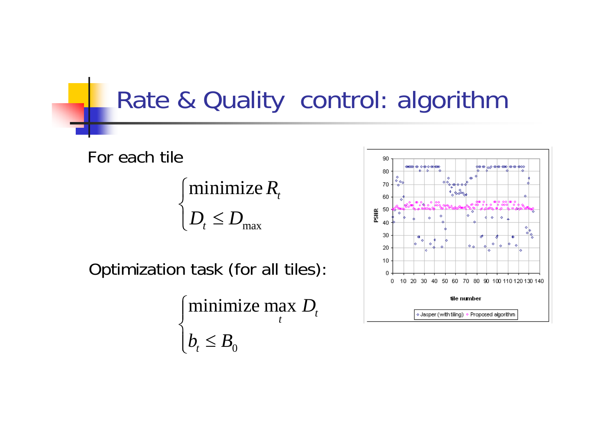### Rate & Quality control: algorithm

For each tile

$$
\begin{cases} \text{minimize } R_t \\ D_t \le D_{\text{max}} \end{cases}
$$

Optimization task (for all tiles):

$$
\begin{cases} \text{minimize } \max_{t} \ D_{t} \\ b_{t} \leq B_{0} \end{cases}
$$

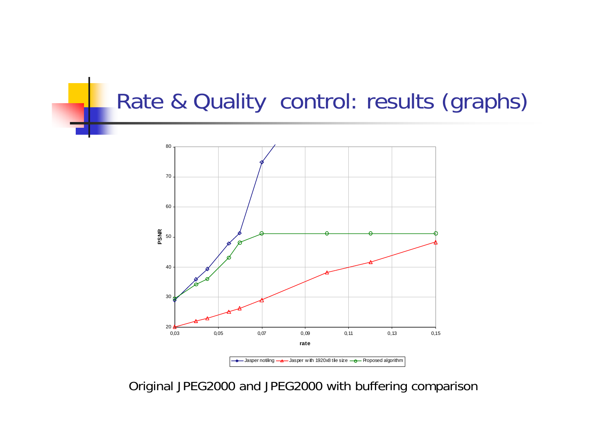### Rate & Quality control: results (graphs)



Original JPEG2000 and JPEG2000 with buffering comparison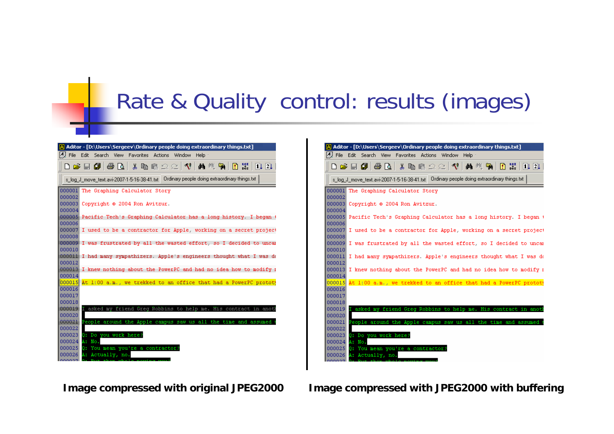### Rate & Quality control: results (images)





**Image compressed with original JPEG2000 Image compressed with JPEG2000 with buffering**